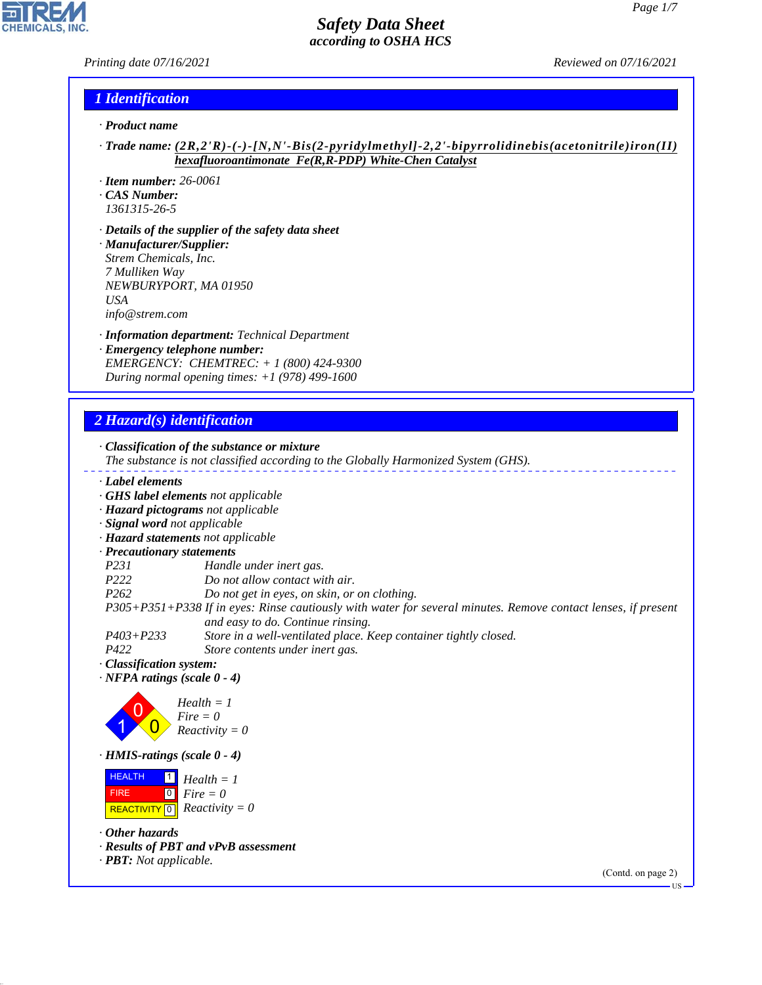*Printing date 07/16/2021 Reviewed on 07/16/2021*

H

**CHEMICALS, INC.** 

# *1 Identification*

- *· Product name*
- *· Trade name: (2R,2'R)-(-)-[N,N'-Bis(2-pyridylmethyl]-2,2'-bipyrrolidinebis(acetonitrile)iron(II) hexafluoroantimonate Fe(R,R-PDP) White-Chen Catalyst*
- *· Item number: 26-0061*
- *· CAS Number:*
- *1361315-26-5*
- *· Details of the supplier of the safety data sheet · Manufacturer/Supplier: Strem Chemicals, Inc. 7 Mulliken Way NEWBURYPORT, MA 01950 USA info@strem.com*
- *· Information department: Technical Department · Emergency telephone number: EMERGENCY: CHEMTREC: + 1 (800) 424-9300 During normal opening times: +1 (978) 499-1600*

# *2 Hazard(s) identification*

44.1.1

|                                                                                                                                   | · Classification of the substance or mixture<br>The substance is not classified according to the Globally Harmonized System (GHS). |
|-----------------------------------------------------------------------------------------------------------------------------------|------------------------------------------------------------------------------------------------------------------------------------|
| Label elements                                                                                                                    |                                                                                                                                    |
|                                                                                                                                   | GHS label elements not applicable                                                                                                  |
|                                                                                                                                   | · Hazard pictograms not applicable                                                                                                 |
| · Signal word not applicable                                                                                                      |                                                                                                                                    |
|                                                                                                                                   | · Hazard statements not applicable                                                                                                 |
| · Precautionary statements                                                                                                        |                                                                                                                                    |
| P <sub>231</sub>                                                                                                                  | Handle under inert gas.                                                                                                            |
| P222                                                                                                                              | Do not allow contact with air.                                                                                                     |
| P <sub>262</sub>                                                                                                                  | Do not get in eyes, on skin, or on clothing.                                                                                       |
|                                                                                                                                   | P305+P351+P338 If in eyes: Rinse cautiously with water for several minutes. Remove contact lenses, if present                      |
| $P403 + P233$                                                                                                                     | and easy to do. Continue rinsing.<br>Store in a well-ventilated place. Keep container tightly closed.                              |
| P422                                                                                                                              | Store contents under inert gas.                                                                                                    |
| · Classification system:                                                                                                          |                                                                                                                                    |
| $\cdot$ NFPA ratings (scale 0 - 4)                                                                                                |                                                                                                                                    |
|                                                                                                                                   | $Health = 1$<br>$Fire = 0$<br>$Reactivity = 0$                                                                                     |
| $\cdot$ HMIS-ratings (scale 0 - 4)                                                                                                |                                                                                                                                    |
| <b>HEALTH</b><br>$\vert$ 1 $\vert$<br>$\overline{0}$<br><b>FIRE</b><br>$\overline{\overline{\phantom{0}}\,}$<br><b>REACTIVITY</b> | $Health = 1$<br>$Fire = 0$<br>$Reactivity = 0$                                                                                     |
| $\cdot$ Other hazards<br>· <b>PBT</b> : Not applicable.                                                                           | · Results of PBT and vPvB assessment                                                                                               |
|                                                                                                                                   | (Contd. on page 2)<br>- US ·                                                                                                       |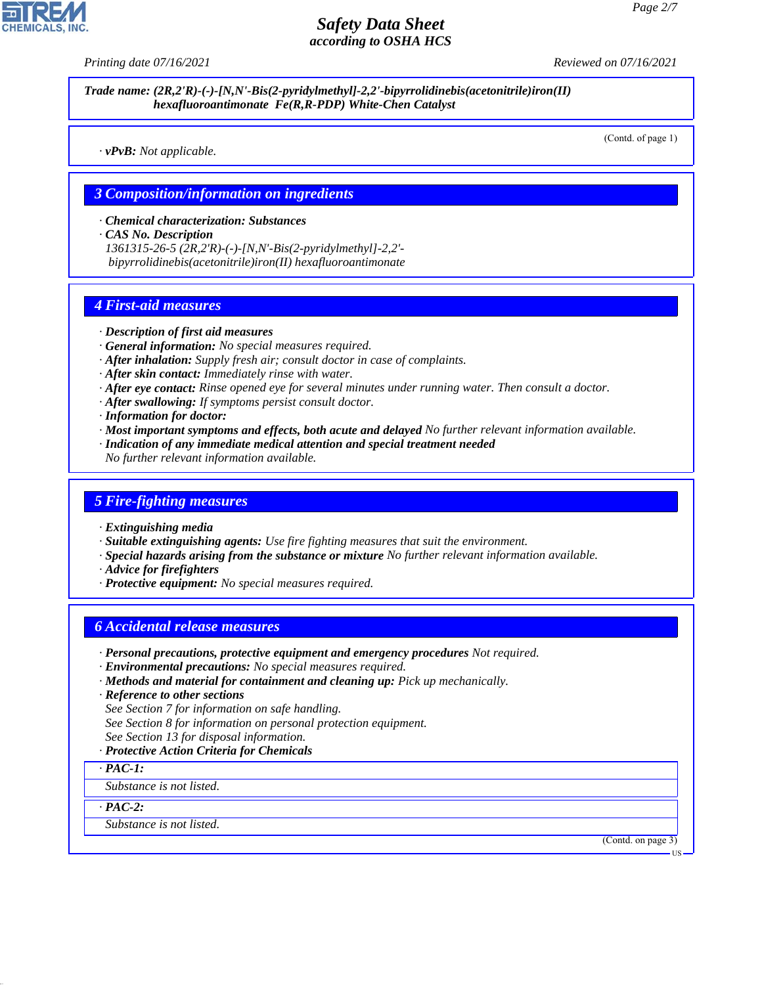*Printing date 07/16/2021 Reviewed on 07/16/2021*

*Trade name: (2R,2'R)-(-)-[N,N'-Bis(2-pyridylmethyl]-2,2'-bipyrrolidinebis(acetonitrile)iron(II) hexafluoroantimonate Fe(R,R-PDP) White-Chen Catalyst*

(Contd. of page 1)

*· vPvB: Not applicable.*

### *3 Composition/information on ingredients*

*· Chemical characterization: Substances*

*· CAS No. Description*

*1361315-26-5 (2R,2'R)-(-)-[N,N'-Bis(2-pyridylmethyl]-2,2' bipyrrolidinebis(acetonitrile)iron(II) hexafluoroantimonate*

## *4 First-aid measures*

- *· Description of first aid measures*
- *· General information: No special measures required.*
- *· After inhalation: Supply fresh air; consult doctor in case of complaints.*
- *· After skin contact: Immediately rinse with water.*
- *· After eye contact: Rinse opened eye for several minutes under running water. Then consult a doctor.*
- *· After swallowing: If symptoms persist consult doctor.*
- *· Information for doctor:*
- *· Most important symptoms and effects, both acute and delayed No further relevant information available.*
- *· Indication of any immediate medical attention and special treatment needed*
- *No further relevant information available.*

#### *5 Fire-fighting measures*

- *· Extinguishing media*
- *· Suitable extinguishing agents: Use fire fighting measures that suit the environment.*
- *· Special hazards arising from the substance or mixture No further relevant information available.*
- *· Advice for firefighters*
- *· Protective equipment: No special measures required.*

## *6 Accidental release measures*

- *· Personal precautions, protective equipment and emergency procedures Not required.*
- *· Environmental precautions: No special measures required.*
- *· Methods and material for containment and cleaning up: Pick up mechanically.*
- *· Reference to other sections*
- *See Section 7 for information on safe handling.*
- *See Section 8 for information on personal protection equipment.*
- *See Section 13 for disposal information.*
- *· Protective Action Criteria for Chemicals*

*· PAC-1:*

*Substance is not listed.*

*· PAC-2:*

44.1.1

*Substance is not listed.*

(Contd. on page 3)

US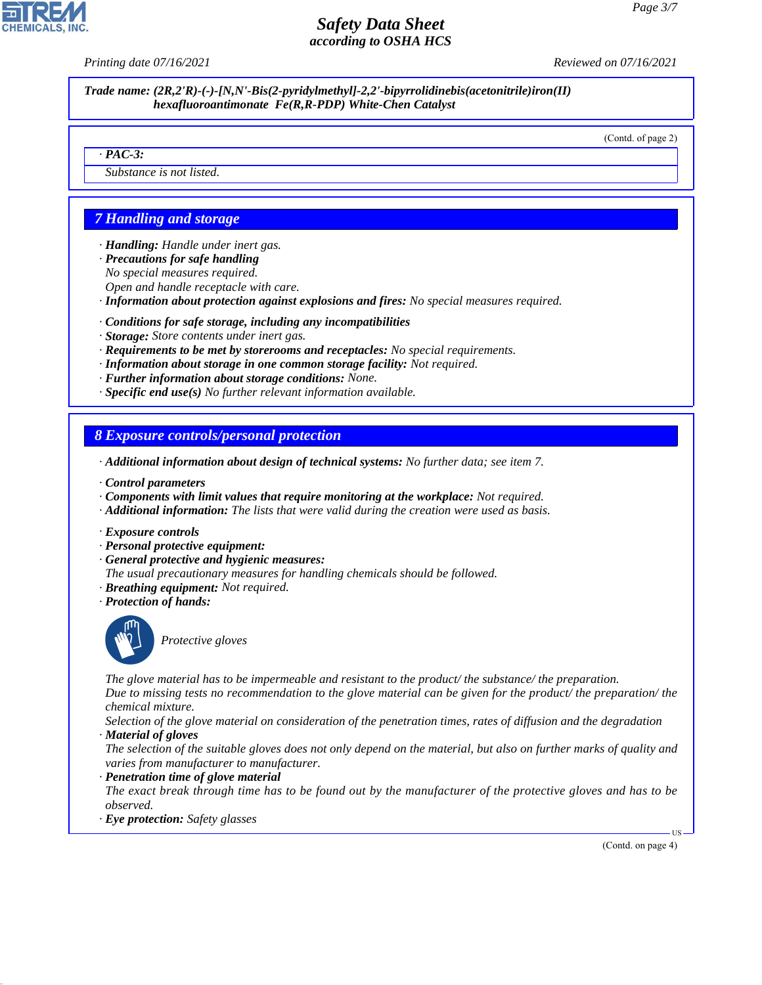*Printing date 07/16/2021 Reviewed on 07/16/2021*

*Trade name: (2R,2'R)-(-)-[N,N'-Bis(2-pyridylmethyl]-2,2'-bipyrrolidinebis(acetonitrile)iron(II) hexafluoroantimonate Fe(R,R-PDP) White-Chen Catalyst*

(Contd. of page 2)

#### *· PAC-3:*

*Substance is not listed.*

# *7 Handling and storage*

*· Handling: Handle under inert gas.*

- *· Precautions for safe handling*
- *No special measures required.*
- *Open and handle receptacle with care.*
- *· Information about protection against explosions and fires: No special measures required.*
- *· Conditions for safe storage, including any incompatibilities*
- *· Storage: Store contents under inert gas.*
- *· Requirements to be met by storerooms and receptacles: No special requirements.*
- *· Information about storage in one common storage facility: Not required.*
- *· Further information about storage conditions: None.*
- *· Specific end use(s) No further relevant information available.*

## *8 Exposure controls/personal protection*

- *· Additional information about design of technical systems: No further data; see item 7.*
- *· Control parameters*
- *· Components with limit values that require monitoring at the workplace: Not required.*
- *· Additional information: The lists that were valid during the creation were used as basis.*
- *· Exposure controls*
- *· Personal protective equipment:*
- *· General protective and hygienic measures:*
- *The usual precautionary measures for handling chemicals should be followed.*
- *· Breathing equipment: Not required.*
- *· Protection of hands:*



44.1.1

\_S*Protective gloves*

*The glove material has to be impermeable and resistant to the product/ the substance/ the preparation. Due to missing tests no recommendation to the glove material can be given for the product/ the preparation/ the chemical mixture.*

*Selection of the glove material on consideration of the penetration times, rates of diffusion and the degradation · Material of gloves*

*The selection of the suitable gloves does not only depend on the material, but also on further marks of quality and varies from manufacturer to manufacturer.*

*· Penetration time of glove material*

*The exact break through time has to be found out by the manufacturer of the protective gloves and has to be observed.*

*· Eye protection: Safety glasses*

(Contd. on page 4)

US

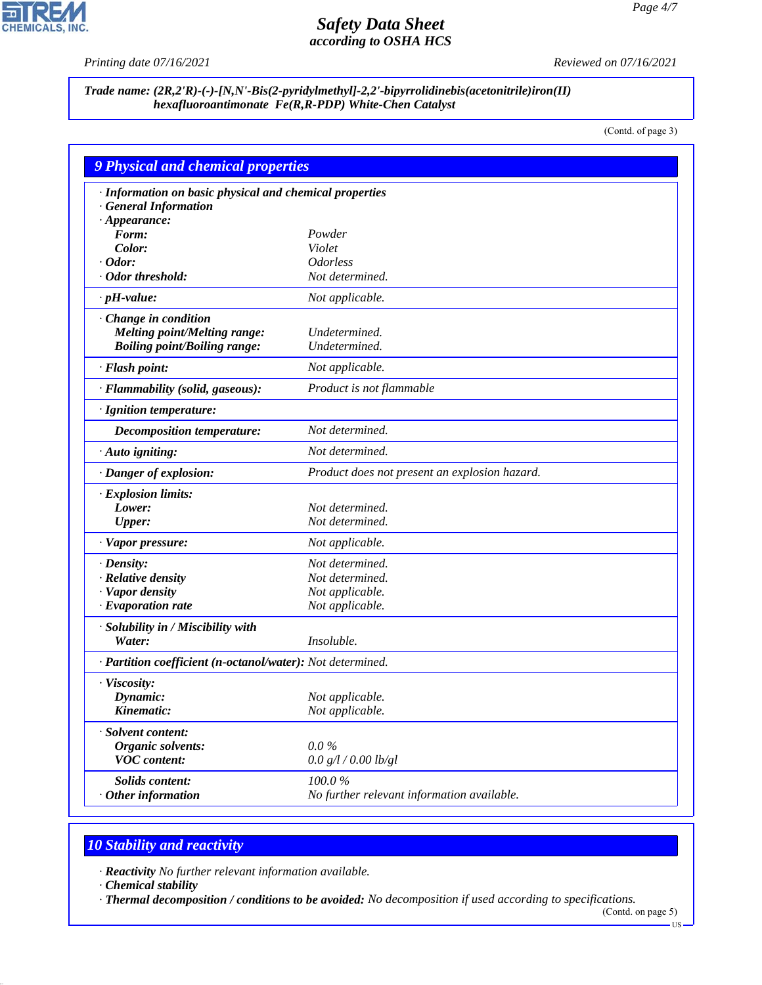$\overline{\mathbf{r}}$ 

**CHEMICALS, INC.** 

*Printing date 07/16/2021 Reviewed on 07/16/2021*

## *Trade name: (2R,2'R)-(-)-[N,N'-Bis(2-pyridylmethyl]-2,2'-bipyrrolidinebis(acetonitrile)iron(II) hexafluoroantimonate Fe(R,R-PDP) White-Chen Catalyst*

(Contd. of page 3)

|                                                            | <b>9 Physical and chemical properties</b>     |  |  |  |  |
|------------------------------------------------------------|-----------------------------------------------|--|--|--|--|
| · Information on basic physical and chemical properties    |                                               |  |  |  |  |
| · General Information                                      |                                               |  |  |  |  |
| $\cdot$ Appearance:                                        |                                               |  |  |  |  |
| Form:                                                      | Powder                                        |  |  |  |  |
| Color:                                                     | Violet                                        |  |  |  |  |
| $\cdot$ Odor:                                              | <b>Odorless</b><br>Not determined.            |  |  |  |  |
| · Odor threshold:                                          |                                               |  |  |  |  |
| $\cdot$ pH-value:                                          | Not applicable.                               |  |  |  |  |
| Change in condition                                        |                                               |  |  |  |  |
| <b>Melting point/Melting range:</b>                        | Undetermined.                                 |  |  |  |  |
| <b>Boiling point/Boiling range:</b>                        | Undetermined.                                 |  |  |  |  |
| · Flash point:                                             | Not applicable.                               |  |  |  |  |
| · Flammability (solid, gaseous):                           | Product is not flammable                      |  |  |  |  |
| · Ignition temperature:                                    |                                               |  |  |  |  |
| <b>Decomposition temperature:</b>                          | Not determined.                               |  |  |  |  |
| $\cdot$ Auto igniting:                                     | Not determined.                               |  |  |  |  |
| · Danger of explosion:                                     | Product does not present an explosion hazard. |  |  |  |  |
| $\cdot$ Explosion limits:                                  |                                               |  |  |  |  |
| Lower:                                                     | Not determined.                               |  |  |  |  |
| <b>Upper:</b>                                              | Not determined.                               |  |  |  |  |
| · Vapor pressure:                                          | Not applicable.                               |  |  |  |  |
| $\cdot$ Density:                                           | Not determined.                               |  |  |  |  |
| · Relative density                                         | Not determined.                               |  |  |  |  |
| · Vapor density                                            | Not applicable.                               |  |  |  |  |
| $\cdot$ Evaporation rate                                   | Not applicable.                               |  |  |  |  |
| · Solubility in / Miscibility with                         |                                               |  |  |  |  |
| Water:                                                     | Insoluble.                                    |  |  |  |  |
| · Partition coefficient (n-octanol/water): Not determined. |                                               |  |  |  |  |
| · Viscosity:                                               |                                               |  |  |  |  |
| Dynamic:                                                   | Not applicable.                               |  |  |  |  |
| Kinematic:                                                 | Not applicable.                               |  |  |  |  |
| · Solvent content:                                         |                                               |  |  |  |  |
| Organic solvents:                                          | $0.0\,\%$                                     |  |  |  |  |
| <b>VOC</b> content:                                        | 0.0 g/l / 0.00 lb/gl                          |  |  |  |  |
| Solids content:                                            | 100.0%                                        |  |  |  |  |
| $\cdot$ Other information                                  | No further relevant information available.    |  |  |  |  |

# *10 Stability and reactivity*

*· Reactivity No further relevant information available.*

*· Chemical stability*

44.1.1

*· Thermal decomposition / conditions to be avoided: No decomposition if used according to specifications.*

(Contd. on page 5)  $-US$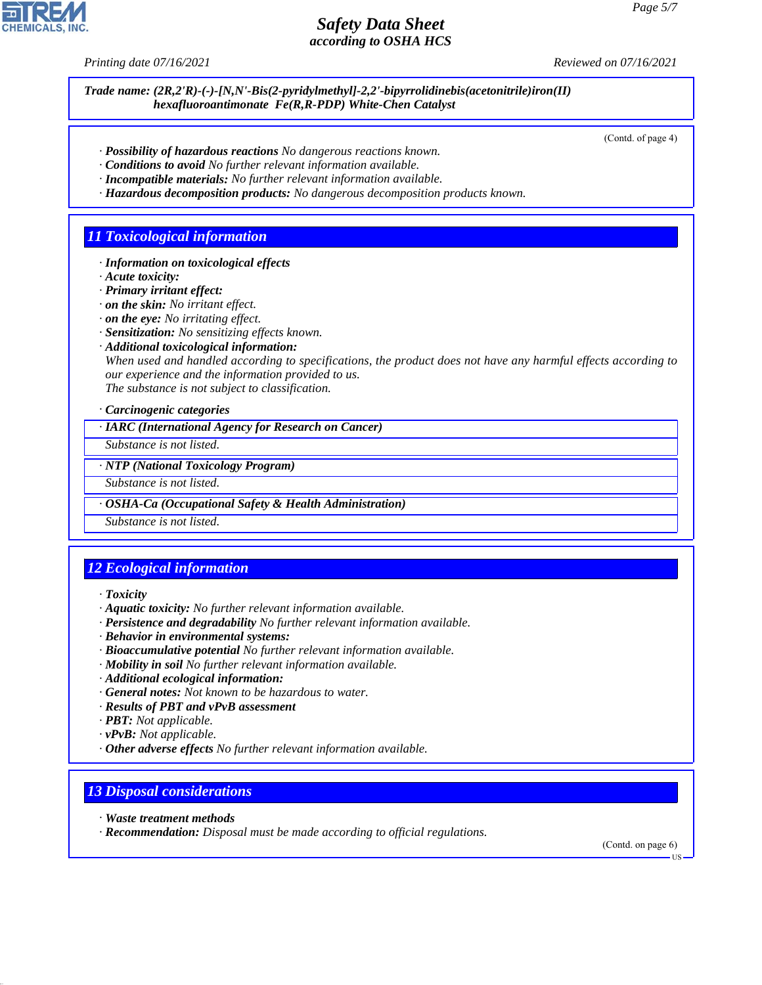*Printing date 07/16/2021 Reviewed on 07/16/2021*

*Trade name: (2R,2'R)-(-)-[N,N'-Bis(2-pyridylmethyl]-2,2'-bipyrrolidinebis(acetonitrile)iron(II) hexafluoroantimonate Fe(R,R-PDP) White-Chen Catalyst*

(Contd. of page 4)

- *· Possibility of hazardous reactions No dangerous reactions known.*
- *· Conditions to avoid No further relevant information available.*
- *· Incompatible materials: No further relevant information available.*
- *· Hazardous decomposition products: No dangerous decomposition products known.*

## *11 Toxicological information*

- *· Information on toxicological effects*
- *· Acute toxicity:*
- *· Primary irritant effect:*
- *· on the skin: No irritant effect.*
- *· on the eye: No irritating effect.*
- *· Sensitization: No sensitizing effects known.*
- *· Additional toxicological information:*

*When used and handled according to specifications, the product does not have any harmful effects according to our experience and the information provided to us. The substance is not subject to classification.*

*· Carcinogenic categories*

*· IARC (International Agency for Research on Cancer)*

*Substance is not listed.*

*· NTP (National Toxicology Program)*

*Substance is not listed.*

*· OSHA-Ca (Occupational Safety & Health Administration)*

*Substance is not listed.*

# *12 Ecological information*

*· Toxicity*

- *· Aquatic toxicity: No further relevant information available.*
- *· Persistence and degradability No further relevant information available.*
- *· Behavior in environmental systems:*
- *· Bioaccumulative potential No further relevant information available.*
- *· Mobility in soil No further relevant information available.*
- *· Additional ecological information:*
- *· General notes: Not known to be hazardous to water.*
- *· Results of PBT and vPvB assessment*
- *· PBT: Not applicable.*
- *· vPvB: Not applicable.*
- *· Other adverse effects No further relevant information available.*

## *13 Disposal considerations*

*· Waste treatment methods*

44.1.1

*· Recommendation: Disposal must be made according to official regulations.*

(Contd. on page 6)

US

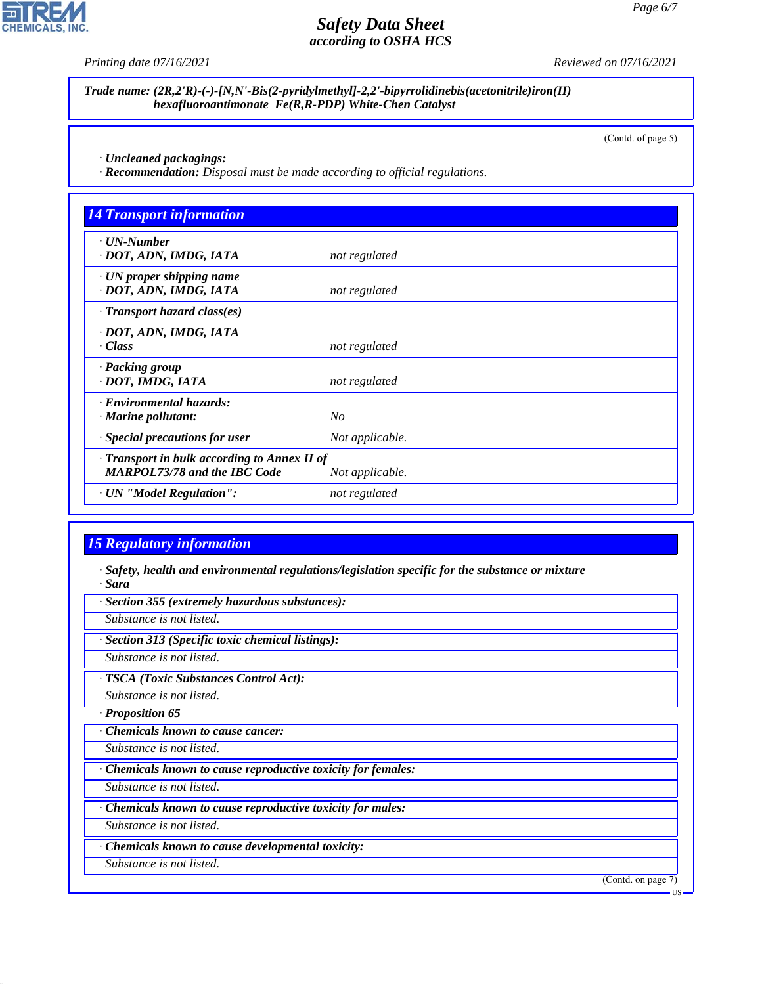

*Printing date 07/16/2021 Reviewed on 07/16/2021*

*Trade name: (2R,2'R)-(-)-[N,N'-Bis(2-pyridylmethyl]-2,2'-bipyrrolidinebis(acetonitrile)iron(II) hexafluoroantimonate Fe(R,R-PDP) White-Chen Catalyst*

(Contd. of page 5)

*· Uncleaned packagings:*

*· Recommendation: Disposal must be made according to official regulations.*

| $\cdot$ UN-Number                                         |                 |  |
|-----------------------------------------------------------|-----------------|--|
| · DOT, ADN, IMDG, IATA                                    | not regulated   |  |
| $\cdot$ UN proper shipping name<br>· DOT, ADN, IMDG, IATA | not regulated   |  |
| $\cdot$ Transport hazard class(es)                        |                 |  |
| · DOT, ADN, IMDG, IATA<br>· Class                         | not regulated   |  |
| · Packing group<br>· DOT, IMDG, IATA                      | not regulated   |  |
| · Environmental hazards:                                  |                 |  |
| · Marine pollutant:                                       | No              |  |
| · Special precautions for user                            | Not applicable. |  |
| · Transport in bulk according to Annex II of              |                 |  |
| <b>MARPOL73/78 and the IBC Code</b>                       | Not applicable. |  |
| · UN "Model Regulation":                                  | not regulated   |  |

# *15 Regulatory information*

*· Safety, health and environmental regulations/legislation specific for the substance or mixture · Sara*

*· Section 355 (extremely hazardous substances):*

*Substance is not listed.*

*· Section 313 (Specific toxic chemical listings):*

*Substance is not listed.*

*· TSCA (Toxic Substances Control Act):*

*Substance is not listed.*

*· Proposition 65*

*· Chemicals known to cause cancer:*

*Substance is not listed.*

*· Chemicals known to cause reproductive toxicity for females:*

*Substance is not listed.*

*· Chemicals known to cause reproductive toxicity for males:*

*Substance is not listed.*

*· Chemicals known to cause developmental toxicity:*

*Substance is not listed.*

44.1.1

(Contd. on page 7)

US